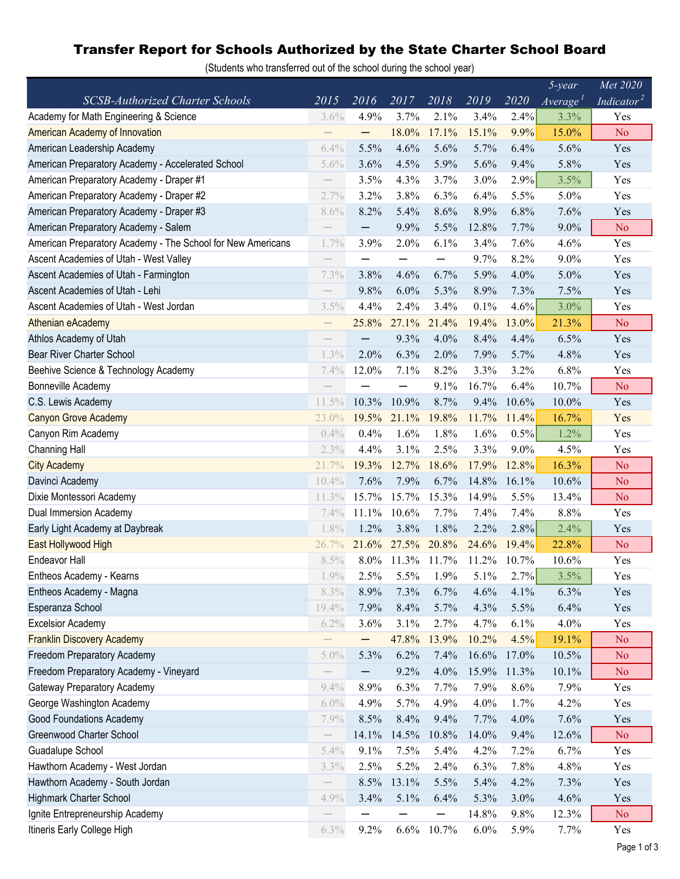## Transfer Report for Schools Authorized by the State Charter School Board

(Students who transferred out of the school during the school year)

|                                                             |                   |                          |         |                          |       |       | $5$ -year                          | Met 2020               |
|-------------------------------------------------------------|-------------------|--------------------------|---------|--------------------------|-------|-------|------------------------------------|------------------------|
| <b>SCSB-Authorized Charter Schools</b>                      | 2015              | 2016                     | 2017    | 2018                     | 2019  | 2020  | $\overline{A}$ verage <sup>1</sup> | Indicator <sup>2</sup> |
| Academy for Math Engineering & Science                      | 3.6%              | 4.9%                     | 3.7%    | 2.1%                     | 3.4%  | 2.4%  | 3.3%                               | Yes                    |
| American Academy of Innovation                              |                   | —                        | 18.0%   | 17.1%                    | 15.1% | 9.9%  | 15.0%                              | N <sub>o</sub>         |
| American Leadership Academy                                 | 6.4%              | 5.5%                     | 4.6%    | 5.6%                     | 5.7%  | 6.4%  | 5.6%                               | Yes                    |
| American Preparatory Academy - Accelerated School           | 5.6%              | 3.6%                     | 4.5%    | 5.9%                     | 5.6%  | 9.4%  | 5.8%                               | Yes                    |
| American Preparatory Academy - Draper #1                    |                   | 3.5%                     | 4.3%    | 3.7%                     | 3.0%  | 2.9%  | 3.5%                               | Yes                    |
| American Preparatory Academy - Draper #2                    | 2.7%              | 3.2%                     | 3.8%    | 6.3%                     | 6.4%  | 5.5%  | 5.0%                               | Yes                    |
| American Preparatory Academy - Draper #3                    | 8.6%              | 8.2%                     | 5.4%    | 8.6%                     | 8.9%  | 6.8%  | 7.6%                               | Yes                    |
| American Preparatory Academy - Salem                        |                   |                          | 9.9%    | 5.5%                     | 12.8% | 7.7%  | $9.0\%$                            | N <sub>o</sub>         |
| American Preparatory Academy - The School for New Americans | 1.7%              | 3.9%                     | 2.0%    | 6.1%                     | 3.4%  | 7.6%  | 4.6%                               | Yes                    |
| Ascent Academies of Utah - West Valley                      |                   | —                        |         | $\overline{\phantom{0}}$ | 9.7%  | 8.2%  | 9.0%                               | Yes                    |
| Ascent Academies of Utah - Farmington                       | 7.3%              | 3.8%                     | 4.6%    | 6.7%                     | 5.9%  | 4.0%  | 5.0%                               | Yes                    |
| Ascent Academies of Utah - Lehi                             |                   | 9.8%                     | 6.0%    | 5.3%                     | 8.9%  | 7.3%  | 7.5%                               | Yes                    |
| Ascent Academies of Utah - West Jordan                      | 3.5%              | 4.4%                     | 2.4%    | 3.4%                     | 0.1%  | 4.6%  | 3.0%                               | Yes                    |
| Athenian eAcademy                                           |                   | 25.8%                    | 27.1%   | 21.4%                    | 19.4% | 13.0% | 21.3%                              | N <sub>o</sub>         |
| Athlos Academy of Utah                                      |                   | —                        | 9.3%    | 4.0%                     | 8.4%  | 4.4%  | 6.5%                               | Yes                    |
| Bear River Charter School                                   | 1.3%              | 2.0%                     | 6.3%    | 2.0%                     | 7.9%  | 5.7%  | 4.8%                               | Yes                    |
| Beehive Science & Technology Academy                        | 7.4%              | 12.0%                    | 7.1%    | 8.2%                     | 3.3%  | 3.2%  | 6.8%                               | Yes                    |
| Bonneville Academy                                          |                   |                          |         | 9.1%                     | 16.7% | 6.4%  | 10.7%                              | N <sub>o</sub>         |
| C.S. Lewis Academy                                          | 11.5%             | 10.3%                    | 10.9%   | 8.7%                     | 9.4%  | 10.6% | 10.0%                              | Yes                    |
| <b>Canyon Grove Academy</b>                                 | 23.0%             | 19.5%                    | 21.1%   | 19.8%                    | 11.7% | 11.4% | 16.7%                              | Yes                    |
| Canyon Rim Academy                                          | 0.4%              | 0.4%                     | 1.6%    | 1.8%                     | 1.6%  | 0.5%  | 1.2%                               | Yes                    |
| <b>Channing Hall</b>                                        | 2.3%              | 4.4%                     | 3.1%    | 2.5%                     | 3.3%  | 9.0%  | 4.5%                               | Yes                    |
| <b>City Academy</b>                                         | 21.7%             | 19.3%                    | 12.7%   | 18.6%                    | 17.9% | 12.8% | 16.3%                              | N <sub>o</sub>         |
| Davinci Academy                                             | 10.4%             | 7.6%                     | 7.9%    | 6.7%                     | 14.8% | 16.1% | 10.6%                              | N <sub>o</sub>         |
| Dixie Montessori Academy                                    | 11.3%             | 15.7%                    | 15.7%   | 15.3%                    | 14.9% | 5.5%  | 13.4%                              | N <sub>o</sub>         |
| Dual Immersion Academy                                      | 7.4%              | 11.1%                    | 10.6%   | 7.7%                     | 7.4%  | 7.4%  | 8.8%                               | Yes                    |
| Early Light Academy at Daybreak                             | 1.8%              | 1.2%                     | 3.8%    | 1.8%                     | 2.2%  | 2.8%  | 2.4%                               | Yes                    |
| East Hollywood High                                         | 26.7%             | 21.6%                    | 27.5%   | 20.8%                    | 24.6% | 19.4% | 22.8%                              | N <sub>o</sub>         |
| <b>Endeavor Hall</b>                                        | 8.5%              | 8.0%                     | 11.3%   | 11.7%                    | 11.2% | 10.7% | 10.6%                              | Yes                    |
| Entheos Academy - Kearns                                    | 1.9%              | 2.5%                     | $5.5\%$ | 1.9%                     | 5.1%  | 2.7%  | $3.5\%$                            | Yes                    |
| Entheos Academy - Magna                                     | 8.3%              | 8.9%                     | 7.3%    | 6.7%                     | 4.6%  | 4.1%  | 6.3%                               | Yes                    |
| Esperanza School                                            | 19.4%             | 7.9%                     | 8.4%    | 5.7%                     | 4.3%  | 5.5%  | 6.4%                               | Yes                    |
| <b>Excelsior Academy</b>                                    | 6.2%              | 3.6%                     | 3.1%    | 2.7%                     | 4.7%  | 6.1%  | 4.0%                               | Yes                    |
| <b>Franklin Discovery Academy</b>                           |                   | —                        | 47.8%   | 13.9%                    | 10.2% | 4.5%  | 19.1%                              | N <sub>o</sub>         |
| Freedom Preparatory Academy                                 | 5.0%              | 5.3%                     | 6.2%    | 7.4%                     | 16.6% | 17.0% | 10.5%                              | N <sub>o</sub>         |
| Freedom Preparatory Academy - Vineyard                      |                   | $\overline{\phantom{m}}$ | 9.2%    | 4.0%                     | 15.9% | 11.3% | 10.1%                              | N <sub>o</sub>         |
| Gateway Preparatory Academy                                 | 9.4%              | 8.9%                     | 6.3%    | 7.7%                     | 7.9%  | 8.6%  | 7.9%                               | Yes                    |
| George Washington Academy                                   | 6.0%              | 4.9%                     | 5.7%    | 4.9%                     | 4.0%  | 1.7%  | 4.2%                               | Yes                    |
| <b>Good Foundations Academy</b>                             | 7.9%              | 8.5%                     | 8.4%    | 9.4%                     | 7.7%  | 4.0%  | 7.6%                               | Yes                    |
| Greenwood Charter School                                    |                   | 14.1%                    | 14.5%   | 10.8%                    | 14.0% | 9.4%  | 12.6%                              | N <sub>o</sub>         |
| Guadalupe School                                            | 5.4%              | 9.1%                     | 7.5%    | 5.4%                     | 4.2%  | 7.2%  | 6.7%                               | Yes                    |
| Hawthorn Academy - West Jordan                              | 3.3%              | 2.5%                     | 5.2%    | 2.4%                     | 6.3%  | 7.8%  | 4.8%                               | Yes                    |
| Hawthorn Academy - South Jordan                             | $\qquad \qquad -$ | 8.5%                     | 13.1%   | 5.5%                     | 5.4%  | 4.2%  | 7.3%                               | Yes                    |
| Highmark Charter School                                     | 4.9%              | 3.4%                     | 5.1%    | 6.4%                     | 5.3%  | 3.0%  | 4.6%                               | Yes                    |
| Ignite Entrepreneurship Academy                             |                   |                          |         |                          | 14.8% | 9.8%  | 12.3%                              | N <sub>o</sub>         |
| Itineris Early College High                                 | 6.3%              | 9.2%                     | 6.6%    | 10.7%                    | 6.0%  | 5.9%  | 7.7%                               | Yes                    |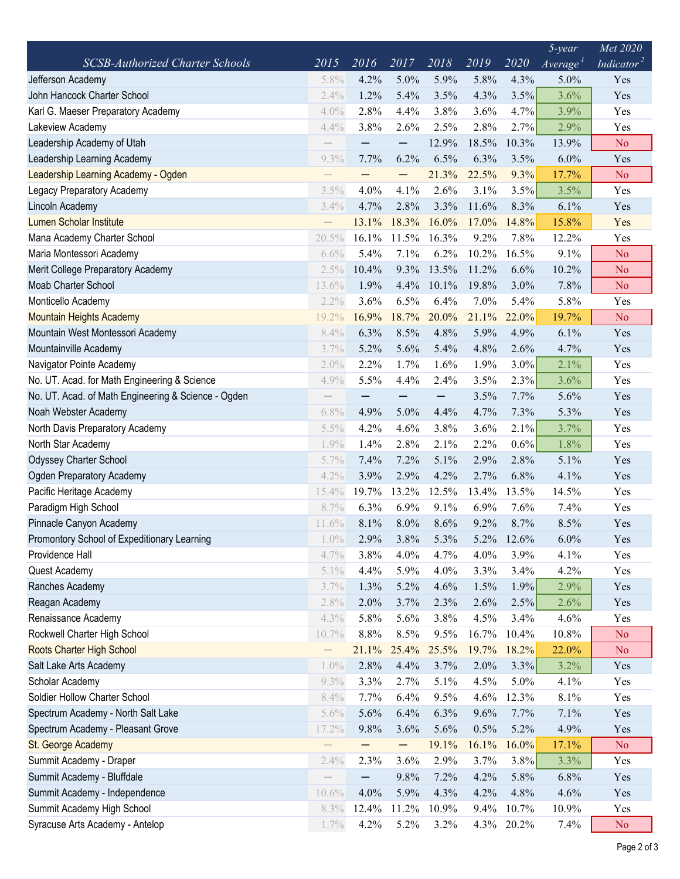|                                                     |                   |                   |                   |                   |         |         | $5$ -year            | Met 2020               |
|-----------------------------------------------------|-------------------|-------------------|-------------------|-------------------|---------|---------|----------------------|------------------------|
| <b>SCSB-Authorized Charter Schools</b>              | 2015              | 2016              | 2017              | 2018              | 2019    | 2020    | Average <sup>T</sup> | Indicator <sup>2</sup> |
| Jefferson Academy                                   | 5.8%              | 4.2%              | 5.0%              | 5.9%              | 5.8%    | 4.3%    | 5.0%                 | Yes                    |
| John Hancock Charter School                         | 2.4%              | 1.2%              | 5.4%              | 3.5%              | 4.3%    | 3.5%    | 3.6%                 | Yes                    |
| Karl G. Maeser Preparatory Academy                  | 4.0%              | 2.8%              | 4.4%              | 3.8%              | 3.6%    | 4.7%    | 3.9%                 | Yes                    |
| Lakeview Academy                                    | 4.4%              | 3.8%              | 2.6%              | 2.5%              | 2.8%    | 2.7%    | 2.9%                 | Yes                    |
| Leadership Academy of Utah                          |                   |                   | $\qquad \qquad -$ | 12.9%             | 18.5%   | 10.3%   | 13.9%                | N <sub>o</sub>         |
| Leadership Learning Academy                         | 9.3%              | 7.7%              | 6.2%              | 6.5%              | 6.3%    | 3.5%    | 6.0%                 | Yes                    |
| Leadership Learning Academy - Ogden                 |                   |                   |                   | 21.3%             | 22.5%   | 9.3%    | 17.7%                | N <sub>o</sub>         |
| Legacy Preparatory Academy                          | 3.5%              | 4.0%              | 4.1%              | 2.6%              | 3.1%    | 3.5%    | 3.5%                 | Yes                    |
| Lincoln Academy                                     | 3.4%              | 4.7%              | 2.8%              | 3.3%              | 11.6%   | 8.3%    | 6.1%                 | Yes                    |
| <b>Lumen Scholar Institute</b>                      |                   | 13.1%             | 18.3%             | 16.0%             | 17.0%   | 14.8%   | 15.8%                | Yes                    |
| Mana Academy Charter School                         | 20.5%             | 16.1%             | 11.5%             | 16.3%             | 9.2%    | 7.8%    | 12.2%                | Yes                    |
| Maria Montessori Academy                            | 6.6%              | 5.4%              | 7.1%              | 6.2%              | 10.2%   | 16.5%   | 9.1%                 | N <sub>o</sub>         |
| Merit College Preparatory Academy                   | 2.5%              | 10.4%             | 9.3%              | 13.5%             | 11.2%   | 6.6%    | 10.2%                | <b>No</b>              |
| Moab Charter School                                 | 13.6%             | 1.9%              | 4.4%              | 10.1%             | 19.8%   | 3.0%    | 7.8%                 | No                     |
| Monticello Academy                                  | 2.2%              | 3.6%              | 6.5%              | 6.4%              | 7.0%    | 5.4%    | 5.8%                 | Yes                    |
| <b>Mountain Heights Academy</b>                     | 19.2%             | 16.9%             | 18.7%             | 20.0%             | 21.1%   | 22.0%   | 19.7%                | N <sub>o</sub>         |
| Mountain West Montessori Academy                    | 8.4%              | 6.3%              | 8.5%              | 4.8%              | 5.9%    | 4.9%    | 6.1%                 | Yes                    |
| Mountainville Academy                               | 3.7%              | 5.2%              | 5.6%              | 5.4%              | 4.8%    | 2.6%    | 4.7%                 | Yes                    |
| Navigator Pointe Academy                            | 2.0%              | 2.2%              | 1.7%              | 1.6%              | 1.9%    | $3.0\%$ | 2.1%                 | Yes                    |
| No. UT. Acad. for Math Engineering & Science        | 4.9%              | 5.5%              | 4.4%              | 2.4%              | 3.5%    | 2.3%    | 3.6%                 | Yes                    |
| No. UT. Acad. of Math Engineering & Science - Ogden |                   | —                 |                   | $\qquad \qquad -$ | 3.5%    | 7.7%    | 5.6%                 | Yes                    |
| Noah Webster Academy                                | 6.8%              | 4.9%              | 5.0%              | 4.4%              | 4.7%    | 7.3%    | 5.3%                 | Yes                    |
| North Davis Preparatory Academy                     | 5.5%              | 4.2%              | 4.6%              | 3.8%              | 3.6%    | 2.1%    | 3.7%                 | Yes                    |
| North Star Academy                                  | 1.9%              | 1.4%              | 2.8%              | 2.1%              | 2.2%    | $0.6\%$ | 1.8%                 | Yes                    |
| <b>Odyssey Charter School</b>                       | 5.7%              | 7.4%              | 7.2%              | 5.1%              | 2.9%    | 2.8%    | 5.1%                 | Yes                    |
| <b>Ogden Preparatory Academy</b>                    | 4.2%              | 3.9%              | 2.9%              | 4.2%              | 2.7%    | 6.8%    | 4.1%                 | Yes                    |
| Pacific Heritage Academy                            | 15.4%             | 19.7%             | 13.2%             | 12.5%             | 13.4%   | 13.5%   | 14.5%                | Yes                    |
| Paradigm High School                                | 8.7%              | 6.3%              | 6.9%              | 9.1%              | 6.9%    | 7.6%    | 7.4%                 | Yes                    |
| Pinnacle Canyon Academy                             | 11.6%             | 8.1%              | 8.0%              | 8.6%              | 9.2%    | 8.7%    | 8.5%                 | Yes                    |
| Promontory School of Expeditionary Learning         | $1.0\%$           | 2.9%              | 3.8%              | 5.3%              | 5.2%    | 12.6%   | 6.0%                 | Yes                    |
| Providence Hall                                     | 4.7%              | 3.8%              | 4.0%              | 4.7%              | 4.0%    | 3.9%    | 4.1%                 | Yes                    |
| Quest Academy                                       | 5.1%              | 4.4%              | 5.9%              | 4.0%              | 3.3%    | 3.4%    | 4.2%                 | Yes                    |
| Ranches Academy                                     | 3.7%              | 1.3%              | 5.2%              | 4.6%              | 1.5%    | 1.9%    | 2.9%                 | Yes                    |
| Reagan Academy                                      | 2.8%              | 2.0%              | 3.7%              | 2.3%              | 2.6%    | 2.5%    | 2.6%                 | Yes                    |
| Renaissance Academy                                 | 4.3%              | 5.8%              | 5.6%              | 3.8%              | 4.5%    | 3.4%    | 4.6%                 | Yes                    |
| Rockwell Charter High School                        | 10.7%             | 8.8%              | 8.5%              | 9.5%              | 16.7%   | 10.4%   | 10.8%                | N <sub>o</sub>         |
| Roots Charter High School                           | $\qquad \qquad -$ | 21.1%             | 25.4%             | 25.5%             | 19.7%   | 18.2%   | 22.0%                | N <sub>o</sub>         |
| Salt Lake Arts Academy                              | $1.0\%$           | 2.8%              | 4.4%              | 3.7%              | 2.0%    | 3.3%    | 3.2%                 | Yes                    |
| Scholar Academy                                     | 9.3%              | 3.3%              | 2.7%              | 5.1%              | 4.5%    | 5.0%    | 4.1%                 | Yes                    |
| Soldier Hollow Charter School                       | 8.4%              | 7.7%              | 6.4%              | 9.5%              | 4.6%    | 12.3%   | 8.1%                 | Yes                    |
| Spectrum Academy - North Salt Lake                  | 5.6%              | 5.6%              | 6.4%              | 6.3%              | 9.6%    | 7.7%    | 7.1%                 | Yes                    |
| Spectrum Academy - Pleasant Grove                   | 17.2%             | 9.8%              | 3.6%              | 5.6%              | 0.5%    | 5.2%    | 4.9%                 | Yes                    |
| St. George Academy                                  |                   | —                 | $\qquad \qquad -$ | 19.1%             | 16.1%   | 16.0%   | 17.1%                | No.                    |
| Summit Academy - Draper                             | 2.4%              | 2.3%              | 3.6%              | 2.9%              | 3.7%    | 3.8%    | 3.3%                 | Yes                    |
| Summit Academy - Bluffdale                          |                   | $\qquad \qquad -$ | 9.8%              | 7.2%              | 4.2%    | 5.8%    | 6.8%                 | Yes                    |
| Summit Academy - Independence                       | 10.6%             | 4.0%              | 5.9%              | 4.3%              | 4.2%    | 4.8%    | 4.6%                 | Yes                    |
| Summit Academy High School                          | 8.3%              | 12.4%             | 11.2%             | 10.9%             | 9.4%    | 10.7%   | 10.9%                | Yes                    |
| Syracuse Arts Academy - Antelop                     | 1.7%              | 4.2%              | 5.2%              | 3.2%              | $4.3\%$ | 20.2%   | 7.4%                 | N <sub>o</sub>         |